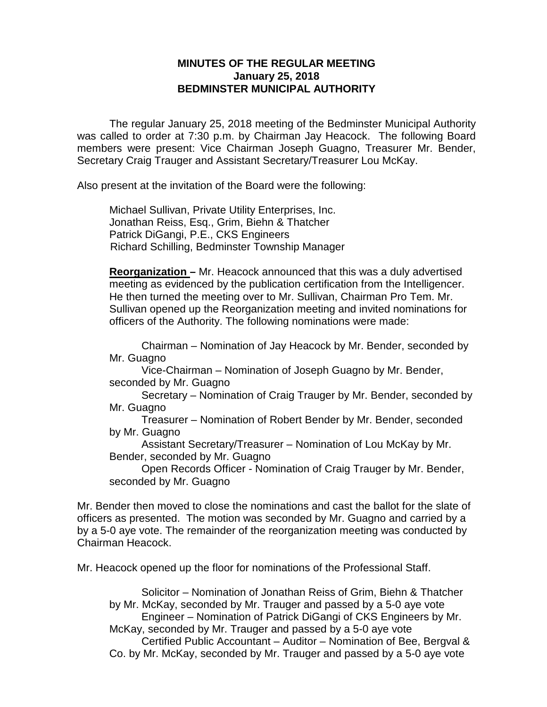## **MINUTES OF THE REGULAR MEETING January 25, 2018 BEDMINSTER MUNICIPAL AUTHORITY**

The regular January 25, 2018 meeting of the Bedminster Municipal Authority was called to order at 7:30 p.m. by Chairman Jay Heacock. The following Board members were present: Vice Chairman Joseph Guagno, Treasurer Mr. Bender, Secretary Craig Trauger and Assistant Secretary/Treasurer Lou McKay.

Also present at the invitation of the Board were the following:

Michael Sullivan, Private Utility Enterprises, Inc. Jonathan Reiss, Esq., Grim, Biehn & Thatcher Patrick DiGangi, P.E., CKS Engineers Richard Schilling, Bedminster Township Manager

**Reorganization –** Mr. Heacock announced that this was a duly advertised meeting as evidenced by the publication certification from the Intelligencer. He then turned the meeting over to Mr. Sullivan, Chairman Pro Tem. Mr. Sullivan opened up the Reorganization meeting and invited nominations for officers of the Authority. The following nominations were made:

Chairman – Nomination of Jay Heacock by Mr. Bender, seconded by Mr. Guagno

Vice-Chairman – Nomination of Joseph Guagno by Mr. Bender, seconded by Mr. Guagno

Secretary – Nomination of Craig Trauger by Mr. Bender, seconded by Mr. Guagno

Treasurer – Nomination of Robert Bender by Mr. Bender, seconded by Mr. Guagno

Assistant Secretary/Treasurer – Nomination of Lou McKay by Mr. Bender, seconded by Mr. Guagno

Open Records Officer - Nomination of Craig Trauger by Mr. Bender, seconded by Mr. Guagno

Mr. Bender then moved to close the nominations and cast the ballot for the slate of officers as presented. The motion was seconded by Mr. Guagno and carried by a by a 5-0 aye vote. The remainder of the reorganization meeting was conducted by Chairman Heacock.

Mr. Heacock opened up the floor for nominations of the Professional Staff.

Solicitor – Nomination of Jonathan Reiss of Grim, Biehn & Thatcher by Mr. McKay, seconded by Mr. Trauger and passed by a 5-0 aye vote Engineer – Nomination of Patrick DiGangi of CKS Engineers by Mr. McKay, seconded by Mr. Trauger and passed by a 5-0 aye vote Certified Public Accountant – Auditor – Nomination of Bee, Bergval & Co. by Mr. McKay, seconded by Mr. Trauger and passed by a 5-0 aye vote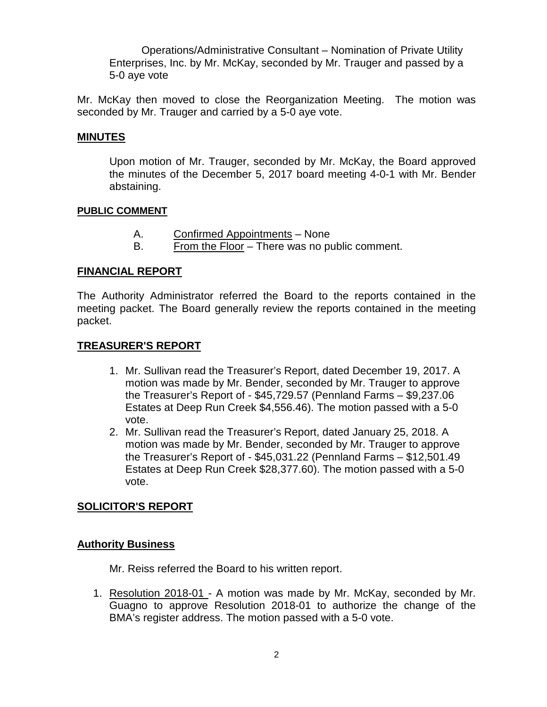Operations/Administrative Consultant – Nomination of Private Utility Enterprises, Inc. by Mr. McKay, seconded by Mr. Trauger and passed by a 5-0 aye vote

Mr. McKay then moved to close the Reorganization Meeting. The motion was seconded by Mr. Trauger and carried by a 5-0 aye vote.

### **MINUTES**

Upon motion of Mr. Trauger, seconded by Mr. McKay, the Board approved the minutes of the December 5, 2017 board meeting 4-0-1 with Mr. Bender abstaining.

#### **PUBLIC COMMENT**

- A. Confirmed Appointments None
- B. From the Floor There was no public comment.

## **FINANCIAL REPORT**

The Authority Administrator referred the Board to the reports contained in the meeting packet. The Board generally review the reports contained in the meeting packet.

## **TREASURER'S REPORT**

- 1. Mr. Sullivan read the Treasurer's Report, dated December 19, 2017. A motion was made by Mr. Bender, seconded by Mr. Trauger to approve the Treasurer's Report of - \$45,729.57 (Pennland Farms – \$9,237.06 Estates at Deep Run Creek \$4,556.46). The motion passed with a 5-0 vote.
- 2. Mr. Sullivan read the Treasurer's Report, dated January 25, 2018. A motion was made by Mr. Bender, seconded by Mr. Trauger to approve the Treasurer's Report of - \$45,031.22 (Pennland Farms – \$12,501.49 Estates at Deep Run Creek \$28,377.60). The motion passed with a 5-0 vote.

## **SOLICITOR'S REPORT**

## **Authority Business**

Mr. Reiss referred the Board to his written report.

1. Resolution 2018-01 - A motion was made by Mr. McKay, seconded by Mr. Guagno to approve Resolution 2018-01 to authorize the change of the BMA's register address. The motion passed with a 5-0 vote.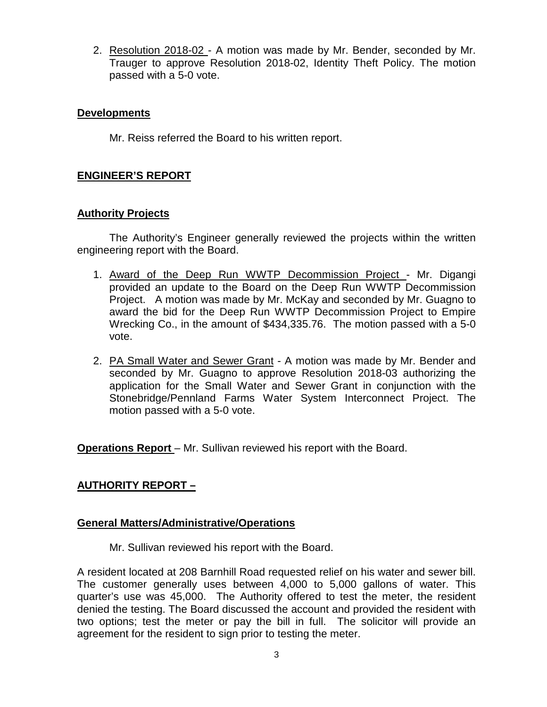2. Resolution 2018-02 - A motion was made by Mr. Bender, seconded by Mr. Trauger to approve Resolution 2018-02, Identity Theft Policy. The motion passed with a 5-0 vote.

### **Developments**

Mr. Reiss referred the Board to his written report.

## **ENGINEER'S REPORT**

## **Authority Projects**

The Authority's Engineer generally reviewed the projects within the written engineering report with the Board.

- 1. Award of the Deep Run WWTP Decommission Project Mr. Digangi provided an update to the Board on the Deep Run WWTP Decommission Project. A motion was made by Mr. McKay and seconded by Mr. Guagno to award the bid for the Deep Run WWTP Decommission Project to Empire Wrecking Co., in the amount of \$434,335.76. The motion passed with a 5-0 vote.
- 2. PA Small Water and Sewer Grant A motion was made by Mr. Bender and seconded by Mr. Guagno to approve Resolution 2018-03 authorizing the application for the Small Water and Sewer Grant in conjunction with the Stonebridge/Pennland Farms Water System Interconnect Project. The motion passed with a 5-0 vote.

**Operations Report** – Mr. Sullivan reviewed his report with the Board.

# **AUTHORITY REPORT –**

## **General Matters/Administrative/Operations**

Mr. Sullivan reviewed his report with the Board.

A resident located at 208 Barnhill Road requested relief on his water and sewer bill. The customer generally uses between 4,000 to 5,000 gallons of water. This quarter's use was 45,000. The Authority offered to test the meter, the resident denied the testing. The Board discussed the account and provided the resident with two options; test the meter or pay the bill in full. The solicitor will provide an agreement for the resident to sign prior to testing the meter.